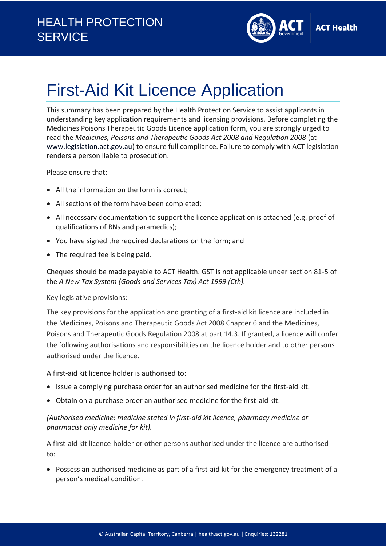

## First-Aid Kit Licence Application

This summary has been prepared by the Health Protection Service to assist applicants in understanding key application requirements and licensing provisions. Before completing the Medicines Poisons Therapeutic Goods Licence application form, you are strongly urged to read the *Medicines, Poisons and Therapeutic Goods Act 2008 and Regulation 2008* (at [www.legislation.act.gov.au\)](http://www.legislation.act.gov.au/) to ensure full compliance. Failure to comply with ACT legislation renders a person liable to prosecution.

Please ensure that:

- All the information on the form is correct;
- All sections of the form have been completed;
- All necessary documentation to support the licence application is attached (e.g. proof of qualifications of RNs and paramedics);
- You have signed the required declarations on the form; and
- The required fee is being paid.

Cheques should be made payable to ACT Health. GST is not applicable under section 81-5 of the *A New Tax System (Goods and Services Tax) Act 1999 (Cth).*

## Key legislative provisions:

The key provisions for the application and granting of a first-aid kit licence are included in the Medicines, Poisons and Therapeutic Goods Act 2008 Chapter 6 and the Medicines, Poisons and Therapeutic Goods Regulation 2008 at part 14.3. If granted, a licence will confer the following authorisations and responsibilities on the licence holder and to other persons authorised under the licence.

## A first-aid kit licence holder is authorised to:

- Issue a complying purchase order for an authorised medicine for the first-aid kit.
- Obtain on a purchase order an authorised medicine for the first-aid kit.

*(Authorised medicine: medicine stated in first-aid kit licence, pharmacy medicine or pharmacist only medicine for kit).*

A first-aid kit licence-holder or other persons authorised under the licence are authorised to:

• Possess an authorised medicine as part of a first-aid kit for the emergency treatment of a person's medical condition.